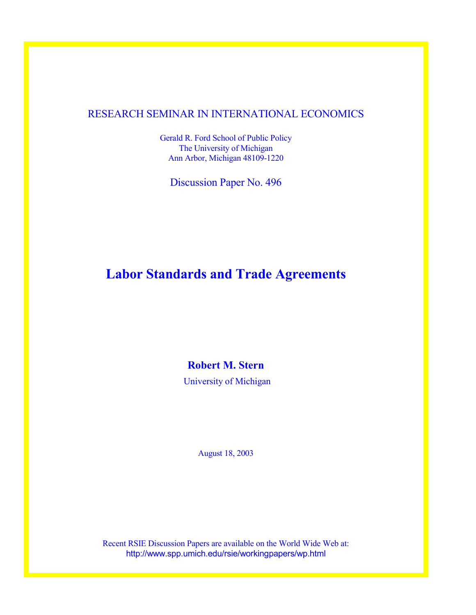## RESEARCH SEMINAR IN INTERNATIONAL ECONOMICS

Gerald R. Ford School of Public Policy The University of Michigan Ann Arbor, Michigan 48109-1220

Discussion Paper No. 496

# **Labor Standards and Trade Agreements**

**Robert M. Stern** 

University of Michigan

August 18, 2003

Recent RSIE Discussion Papers are available on the World Wide Web at: http://www.spp.umich.edu/rsie/workingpapers/wp.html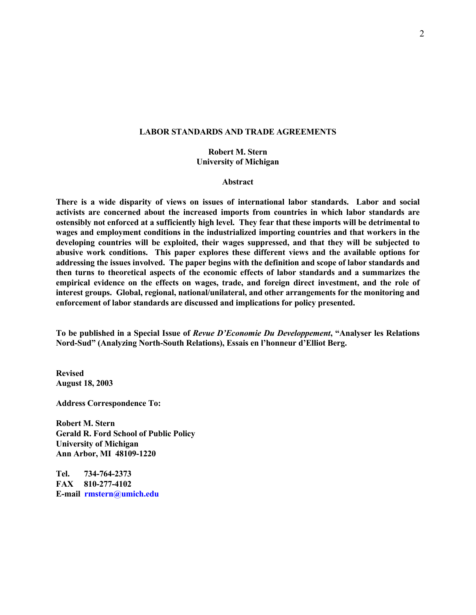## **LABOR STANDARDS AND TRADE AGREEMENTS**

## **Robert M. Stern University of Michigan**

#### **Abstract**

**There is a wide disparity of views on issues of international labor standards. Labor and social activists are concerned about the increased imports from countries in which labor standards are ostensibly not enforced at a sufficiently high level. They fear that these imports will be detrimental to wages and employment conditions in the industrialized importing countries and that workers in the developing countries will be exploited, their wages suppressed, and that they will be subjected to abusive work conditions. This paper explores these different views and the available options for addressing the issues involved. The paper begins with the definition and scope of labor standards and then turns to theoretical aspects of the economic effects of labor standards and a summarizes the empirical evidence on the effects on wages, trade, and foreign direct investment, and the role of interest groups. Global, regional, national/unilateral, and other arrangements for the monitoring and enforcement of labor standards are discussed and implications for policy presented.** 

**To be published in a Special Issue of** *Revue D'Economie Du Developpement***, "Analyser les Relations Nord-Sud" (Analyzing North-South Relations), Essais en l'honneur d'Elliot Berg.** 

**Revised August 18, 2003** 

**Address Correspondence To:** 

**Robert M. Stern Gerald R. Ford School of Public Policy University of Michigan Ann Arbor, MI 48109-1220** 

**Tel. 734-764-2373 FAX 810-277-4102 E-mail rmstern@umich.edu**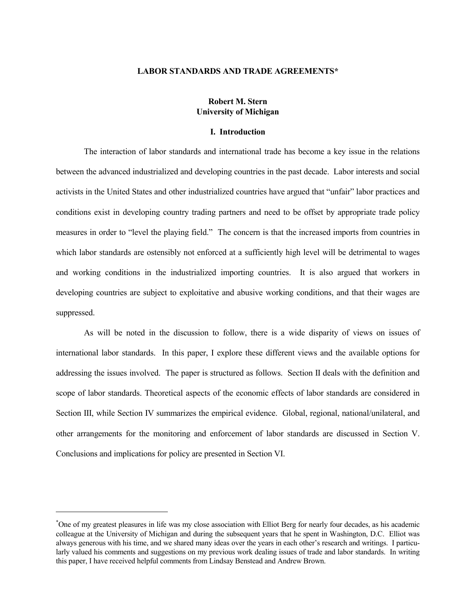### **LABOR STANDARDS AND TRADE AGREEMENTS\***

## **Robert M. Stern University of Michigan**

### **I. Introduction**

 The interaction of labor standards and international trade has become a key issue in the relations between the advanced industrialized and developing countries in the past decade. Labor interests and social activists in the United States and other industrialized countries have argued that "unfair" labor practices and conditions exist in developing country trading partners and need to be offset by appropriate trade policy measures in order to "level the playing field." The concern is that the increased imports from countries in which labor standards are ostensibly not enforced at a sufficiently high level will be detrimental to wages and working conditions in the industrialized importing countries. It is also argued that workers in developing countries are subject to exploitative and abusive working conditions, and that their wages are suppressed.

 As will be noted in the discussion to follow, there is a wide disparity of views on issues of international labor standards. In this paper, I explore these different views and the available options for addressing the issues involved. The paper is structured as follows. Section II deals with the definition and scope of labor standards. Theoretical aspects of the economic effects of labor standards are considered in Section III, while Section IV summarizes the empirical evidence. Global, regional, national/unilateral, and other arrangements for the monitoring and enforcement of labor standards are discussed in Section V. Conclusions and implications for policy are presented in Section VI.

l

<sup>\*</sup> One of my greatest pleasures in life was my close association with Elliot Berg for nearly four decades, as his academic colleague at the University of Michigan and during the subsequent years that he spent in Washington, D.C. Elliot was always generous with his time, and we shared many ideas over the years in each other's research and writings. I particularly valued his comments and suggestions on my previous work dealing issues of trade and labor standards. In writing this paper, I have received helpful comments from Lindsay Benstead and Andrew Brown.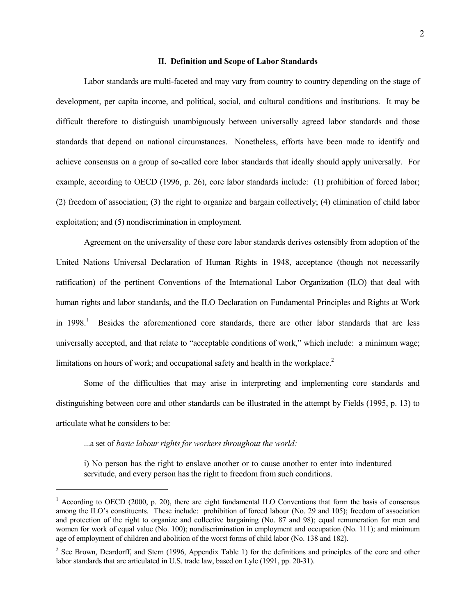### **II. Definition and Scope of Labor Standards**

 Labor standards are multi-faceted and may vary from country to country depending on the stage of development, per capita income, and political, social, and cultural conditions and institutions. It may be difficult therefore to distinguish unambiguously between universally agreed labor standards and those standards that depend on national circumstances. Nonetheless, efforts have been made to identify and achieve consensus on a group of so-called core labor standards that ideally should apply universally. For example, according to OECD (1996, p. 26), core labor standards include: (1) prohibition of forced labor; (2) freedom of association; (3) the right to organize and bargain collectively; (4) elimination of child labor exploitation; and (5) nondiscrimination in employment.

 Agreement on the universality of these core labor standards derives ostensibly from adoption of the United Nations Universal Declaration of Human Rights in 1948, acceptance (though not necessarily ratification) of the pertinent Conventions of the International Labor Organization (ILO) that deal with human rights and labor standards, and the ILO Declaration on Fundamental Principles and Rights at Work in 1998.<sup>1</sup> Besides the aforementioned core standards, there are other labor standards that are less universally accepted, and that relate to "acceptable conditions of work," which include: a minimum wage; limitations on hours of work; and occupational safety and health in the workplace. $2$ 

 Some of the difficulties that may arise in interpreting and implementing core standards and distinguishing between core and other standards can be illustrated in the attempt by Fields (1995, p. 13) to articulate what he considers to be:

...a set of *basic labour rights for workers throughout the world:* 

 $\overline{a}$ 

i) No person has the right to enslave another or to cause another to enter into indentured servitude, and every person has the right to freedom from such conditions.

<sup>&</sup>lt;sup>1</sup> According to OECD (2000, p. 20), there are eight fundamental ILO Conventions that form the basis of consensus among the ILO's constituents. These include: prohibition of forced labour (No. 29 and 105); freedom of association and protection of the right to organize and collective bargaining (No. 87 and 98); equal remuneration for men and women for work of equal value (No. 100); nondiscrimination in employment and occupation (No. 111); and minimum age of employment of children and abolition of the worst forms of child labor (No. 138 and 182).

<sup>&</sup>lt;sup>2</sup> See Brown, Deardorff, and Stern (1996, Appendix Table 1) for the definitions and principles of the core and other labor standards that are articulated in U.S. trade law, based on Lyle (1991, pp. 20-31).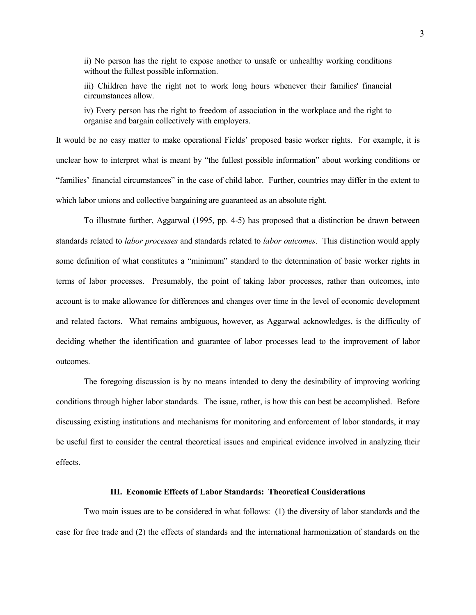ii) No person has the right to expose another to unsafe or unhealthy working conditions without the fullest possible information.

iii) Children have the right not to work long hours whenever their families' financial circumstances allow.

iv) Every person has the right to freedom of association in the workplace and the right to organise and bargain collectively with employers.

It would be no easy matter to make operational Fields' proposed basic worker rights. For example, it is unclear how to interpret what is meant by "the fullest possible information" about working conditions or "families' financial circumstances" in the case of child labor. Further, countries may differ in the extent to which labor unions and collective bargaining are guaranteed as an absolute right.

 To illustrate further, Aggarwal (1995, pp. 4-5) has proposed that a distinction be drawn between standards related to *labor processes* and standards related to *labor outcomes*. This distinction would apply some definition of what constitutes a "minimum" standard to the determination of basic worker rights in terms of labor processes. Presumably, the point of taking labor processes, rather than outcomes, into account is to make allowance for differences and changes over time in the level of economic development and related factors. What remains ambiguous, however, as Aggarwal acknowledges, is the difficulty of deciding whether the identification and guarantee of labor processes lead to the improvement of labor outcomes.

 The foregoing discussion is by no means intended to deny the desirability of improving working conditions through higher labor standards. The issue, rather, is how this can best be accomplished. Before discussing existing institutions and mechanisms for monitoring and enforcement of labor standards, it may be useful first to consider the central theoretical issues and empirical evidence involved in analyzing their effects.

## **III. Economic Effects of Labor Standards: Theoretical Considerations**

 Two main issues are to be considered in what follows: (1) the diversity of labor standards and the case for free trade and (2) the effects of standards and the international harmonization of standards on the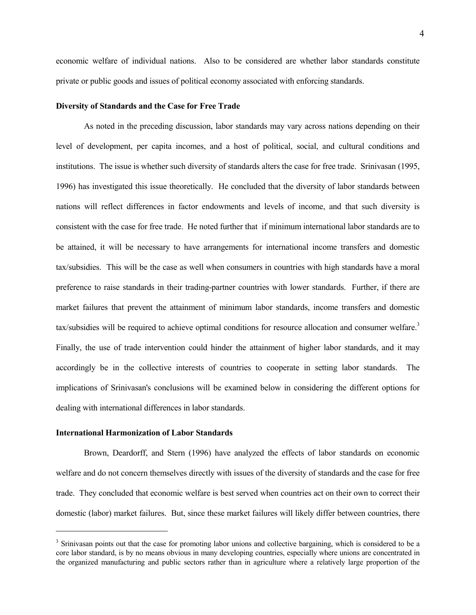economic welfare of individual nations. Also to be considered are whether labor standards constitute private or public goods and issues of political economy associated with enforcing standards.

## **Diversity of Standards and the Case for Free Trade**

 As noted in the preceding discussion, labor standards may vary across nations depending on their level of development, per capita incomes, and a host of political, social, and cultural conditions and institutions. The issue is whether such diversity of standards alters the case for free trade. Srinivasan (1995, 1996) has investigated this issue theoretically. He concluded that the diversity of labor standards between nations will reflect differences in factor endowments and levels of income, and that such diversity is consistent with the case for free trade. He noted further that if minimum international labor standards are to be attained, it will be necessary to have arrangements for international income transfers and domestic tax/subsidies. This will be the case as well when consumers in countries with high standards have a moral preference to raise standards in their trading-partner countries with lower standards. Further, if there are market failures that prevent the attainment of minimum labor standards, income transfers and domestic tax/subsidies will be required to achieve optimal conditions for resource allocation and consumer welfare.<sup>3</sup> Finally, the use of trade intervention could hinder the attainment of higher labor standards, and it may accordingly be in the collective interests of countries to cooperate in setting labor standards. The implications of Srinivasan's conclusions will be examined below in considering the different options for dealing with international differences in labor standards.

## **International Harmonization of Labor Standards**

l

 Brown, Deardorff, and Stern (1996) have analyzed the effects of labor standards on economic welfare and do not concern themselves directly with issues of the diversity of standards and the case for free trade. They concluded that economic welfare is best served when countries act on their own to correct their domestic (labor) market failures. But, since these market failures will likely differ between countries, there

<sup>&</sup>lt;sup>3</sup> Srinivasan points out that the case for promoting labor unions and collective bargaining, which is considered to be a core labor standard, is by no means obvious in many developing countries, especially where unions are concentrated in the organized manufacturing and public sectors rather than in agriculture where a relatively large proportion of the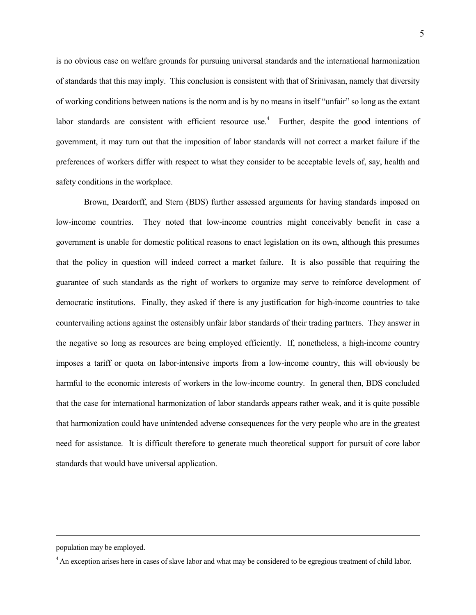is no obvious case on welfare grounds for pursuing universal standards and the international harmonization of standards that this may imply. This conclusion is consistent with that of Srinivasan, namely that diversity of working conditions between nations is the norm and is by no means in itself "unfair" so long as the extant labor standards are consistent with efficient resource use.<sup>4</sup> Further, despite the good intentions of government, it may turn out that the imposition of labor standards will not correct a market failure if the preferences of workers differ with respect to what they consider to be acceptable levels of, say, health and safety conditions in the workplace.

 Brown, Deardorff, and Stern (BDS) further assessed arguments for having standards imposed on low-income countries. They noted that low-income countries might conceivably benefit in case a government is unable for domestic political reasons to enact legislation on its own, although this presumes that the policy in question will indeed correct a market failure. It is also possible that requiring the guarantee of such standards as the right of workers to organize may serve to reinforce development of democratic institutions. Finally, they asked if there is any justification for high-income countries to take countervailing actions against the ostensibly unfair labor standards of their trading partners. They answer in the negative so long as resources are being employed efficiently. If, nonetheless, a high-income country imposes a tariff or quota on labor-intensive imports from a low-income country, this will obviously be harmful to the economic interests of workers in the low-income country. In general then, BDS concluded that the case for international harmonization of labor standards appears rather weak, and it is quite possible that harmonization could have unintended adverse consequences for the very people who are in the greatest need for assistance. It is difficult therefore to generate much theoretical support for pursuit of core labor standards that would have universal application.

population may be employed.

 $\overline{a}$ 

<sup>&</sup>lt;sup>4</sup> An exception arises here in cases of slave labor and what may be considered to be egregious treatment of child labor.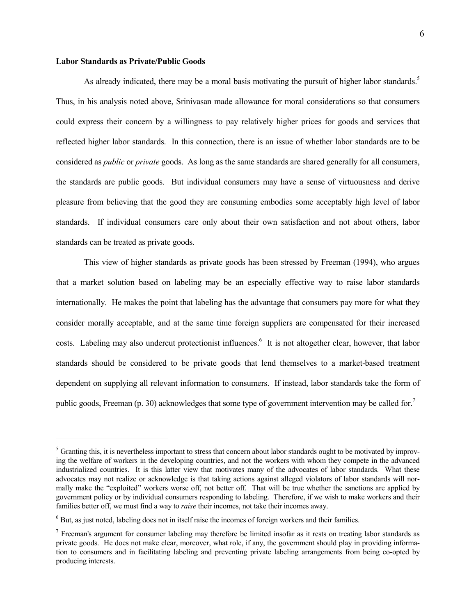## **Labor Standards as Private/Public Goods**

 $\overline{a}$ 

As already indicated, there may be a moral basis motivating the pursuit of higher labor standards.<sup>5</sup> Thus, in his analysis noted above, Srinivasan made allowance for moral considerations so that consumers could express their concern by a willingness to pay relatively higher prices for goods and services that reflected higher labor standards. In this connection, there is an issue of whether labor standards are to be considered as *public* or *private* goods. As long as the same standards are shared generally for all consumers, the standards are public goods. But individual consumers may have a sense of virtuousness and derive pleasure from believing that the good they are consuming embodies some acceptably high level of labor standards. If individual consumers care only about their own satisfaction and not about others, labor standards can be treated as private goods.

 This view of higher standards as private goods has been stressed by Freeman (1994), who argues that a market solution based on labeling may be an especially effective way to raise labor standards internationally. He makes the point that labeling has the advantage that consumers pay more for what they consider morally acceptable, and at the same time foreign suppliers are compensated for their increased costs. Labeling may also undercut protectionist influences.<sup>6</sup> It is not altogether clear, however, that labor standards should be considered to be private goods that lend themselves to a market-based treatment dependent on supplying all relevant information to consumers. If instead, labor standards take the form of public goods, Freeman (p. 30) acknowledges that some type of government intervention may be called for.<sup>7</sup>

 $<sup>5</sup>$  Granting this, it is nevertheless important to stress that concern about labor standards ought to be motivated by improv-</sup> ing the welfare of workers in the developing countries, and not the workers with whom they compete in the advanced industrialized countries. It is this latter view that motivates many of the advocates of labor standards. What these advocates may not realize or acknowledge is that taking actions against alleged violators of labor standards will normally make the "exploited" workers worse off, not better off. That will be true whether the sanctions are applied by government policy or by individual consumers responding to labeling. Therefore, if we wish to make workers and their families better off, we must find a way to *raise* their incomes, not take their incomes away.

 $6$  But, as just noted, labeling does not in itself raise the incomes of foreign workers and their families.

 $<sup>7</sup>$  Freeman's argument for consumer labeling may therefore be limited insofar as it rests on treating labor standards as</sup> private goods. He does not make clear, moreover, what role, if any, the government should play in providing information to consumers and in facilitating labeling and preventing private labeling arrangements from being co-opted by producing interests.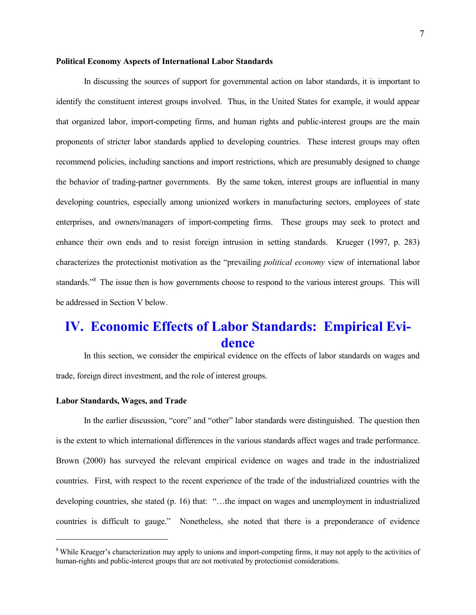## **Political Economy Aspects of International Labor Standards**

 In discussing the sources of support for governmental action on labor standards, it is important to identify the constituent interest groups involved. Thus, in the United States for example, it would appear that organized labor, import-competing firms, and human rights and public-interest groups are the main proponents of stricter labor standards applied to developing countries. These interest groups may often recommend policies, including sanctions and import restrictions, which are presumably designed to change the behavior of trading-partner governments. By the same token, interest groups are influential in many developing countries, especially among unionized workers in manufacturing sectors, employees of state enterprises, and owners/managers of import-competing firms. These groups may seek to protect and enhance their own ends and to resist foreign intrusion in setting standards. Krueger (1997, p. 283) characterizes the protectionist motivation as the "prevailing *political economy* view of international labor standards.<sup>38</sup> The issue then is how governments choose to respond to the various interest groups. This will be addressed in Section V below.

## **IV. Economic Effects of Labor Standards: Empirical Evidence**

 In this section, we consider the empirical evidence on the effects of labor standards on wages and trade, foreign direct investment, and the role of interest groups.

## **Labor Standards, Wages, and Trade**

 $\overline{a}$ 

 In the earlier discussion, "core" and "other" labor standards were distinguished. The question then is the extent to which international differences in the various standards affect wages and trade performance. Brown (2000) has surveyed the relevant empirical evidence on wages and trade in the industrialized countries. First, with respect to the recent experience of the trade of the industrialized countries with the developing countries, she stated (p. 16) that: "…the impact on wages and unemployment in industrialized countries is difficult to gauge." Nonetheless, she noted that there is a preponderance of evidence

<sup>&</sup>lt;sup>8</sup> While Krueger's characterization may apply to unions and import-competing firms, it may not apply to the activities of human-rights and public-interest groups that are not motivated by protectionist considerations.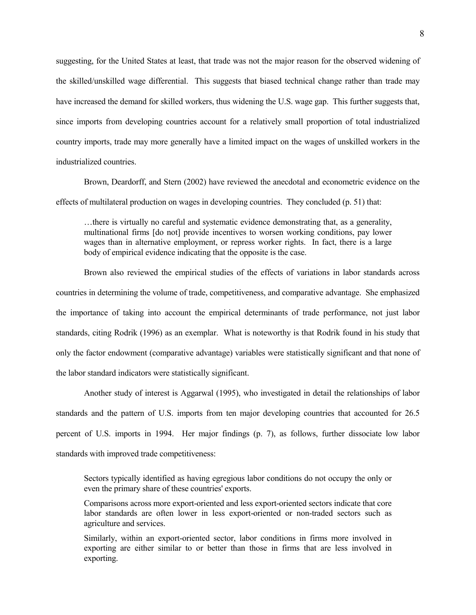suggesting, for the United States at least, that trade was not the major reason for the observed widening of the skilled/unskilled wage differential. This suggests that biased technical change rather than trade may have increased the demand for skilled workers, thus widening the U.S. wage gap. This further suggests that, since imports from developing countries account for a relatively small proportion of total industrialized country imports, trade may more generally have a limited impact on the wages of unskilled workers in the industrialized countries.

 Brown, Deardorff, and Stern (2002) have reviewed the anecdotal and econometric evidence on the effects of multilateral production on wages in developing countries. They concluded (p. 51) that:

…there is virtually no careful and systematic evidence demonstrating that, as a generality, multinational firms [do not] provide incentives to worsen working conditions, pay lower wages than in alternative employment, or repress worker rights. In fact, there is a large body of empirical evidence indicating that the opposite is the case.

 Brown also reviewed the empirical studies of the effects of variations in labor standards across countries in determining the volume of trade, competitiveness, and comparative advantage. She emphasized the importance of taking into account the empirical determinants of trade performance, not just labor standards, citing Rodrik (1996) as an exemplar. What is noteworthy is that Rodrik found in his study that only the factor endowment (comparative advantage) variables were statistically significant and that none of the labor standard indicators were statistically significant.

 Another study of interest is Aggarwal (1995), who investigated in detail the relationships of labor standards and the pattern of U.S. imports from ten major developing countries that accounted for 26.5 percent of U.S. imports in 1994. Her major findings (p. 7), as follows, further dissociate low labor standards with improved trade competitiveness:

Sectors typically identified as having egregious labor conditions do not occupy the only or even the primary share of these countries' exports.

Comparisons across more export-oriented and less export-oriented sectors indicate that core labor standards are often lower in less export-oriented or non-traded sectors such as agriculture and services.

Similarly, within an export-oriented sector, labor conditions in firms more involved in exporting are either similar to or better than those in firms that are less involved in exporting.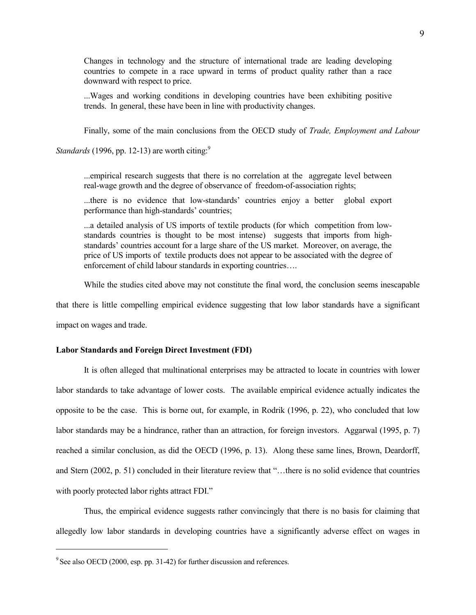Changes in technology and the structure of international trade are leading developing countries to compete in a race upward in terms of product quality rather than a race downward with respect to price.

...Wages and working conditions in developing countries have been exhibiting positive trends. In general, these have been in line with productivity changes.

Finally, some of the main conclusions from the OECD study of *Trade, Employment and Labour* 

*Standards* (1996, pp. 12-13) are worth citing:<sup>9</sup>

...empirical research suggests that there is no correlation at the aggregate level between real-wage growth and the degree of observance of freedom-of-association rights;

...there is no evidence that low-standards' countries enjoy a better global export performance than high-standards' countries;

...a detailed analysis of US imports of textile products (for which competition from lowstandards countries is thought to be most intense) suggests that imports from highstandards' countries account for a large share of the US market. Moreover, on average, the price of US imports of textile products does not appear to be associated with the degree of enforcement of child labour standards in exporting countries….

While the studies cited above may not constitute the final word, the conclusion seems inescapable

that there is little compelling empirical evidence suggesting that low labor standards have a significant

impact on wages and trade.

 $\overline{a}$ 

## **Labor Standards and Foreign Direct Investment (FDI)**

 It is often alleged that multinational enterprises may be attracted to locate in countries with lower labor standards to take advantage of lower costs. The available empirical evidence actually indicates the opposite to be the case. This is borne out, for example, in Rodrik (1996, p. 22), who concluded that low labor standards may be a hindrance, rather than an attraction, for foreign investors. Aggarwal (1995, p. 7) reached a similar conclusion, as did the OECD (1996, p. 13). Along these same lines, Brown, Deardorff, and Stern (2002, p. 51) concluded in their literature review that "…there is no solid evidence that countries with poorly protected labor rights attract FDI."

 Thus, the empirical evidence suggests rather convincingly that there is no basis for claiming that allegedly low labor standards in developing countries have a significantly adverse effect on wages in

<sup>&</sup>lt;sup>9</sup> See also OECD (2000, esp. pp. 31-42) for further discussion and references.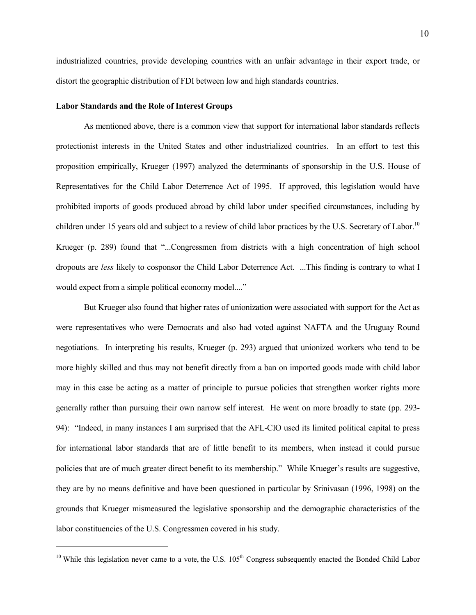industrialized countries, provide developing countries with an unfair advantage in their export trade, or distort the geographic distribution of FDI between low and high standards countries.

## **Labor Standards and the Role of Interest Groups**

l

 As mentioned above, there is a common view that support for international labor standards reflects protectionist interests in the United States and other industrialized countries. In an effort to test this proposition empirically, Krueger (1997) analyzed the determinants of sponsorship in the U.S. House of Representatives for the Child Labor Deterrence Act of 1995. If approved, this legislation would have prohibited imports of goods produced abroad by child labor under specified circumstances, including by children under 15 years old and subject to a review of child labor practices by the U.S. Secretary of Labor.<sup>10</sup> Krueger (p. 289) found that "...Congressmen from districts with a high concentration of high school dropouts are *less* likely to cosponsor the Child Labor Deterrence Act. ...This finding is contrary to what I would expect from a simple political economy model...."

 But Krueger also found that higher rates of unionization were associated with support for the Act as were representatives who were Democrats and also had voted against NAFTA and the Uruguay Round negotiations. In interpreting his results, Krueger (p. 293) argued that unionized workers who tend to be more highly skilled and thus may not benefit directly from a ban on imported goods made with child labor may in this case be acting as a matter of principle to pursue policies that strengthen worker rights more generally rather than pursuing their own narrow self interest. He went on more broadly to state (pp. 293- 94): "Indeed, in many instances I am surprised that the AFL-CIO used its limited political capital to press for international labor standards that are of little benefit to its members, when instead it could pursue policies that are of much greater direct benefit to its membership." While Krueger's results are suggestive, they are by no means definitive and have been questioned in particular by Srinivasan (1996, 1998) on the grounds that Krueger mismeasured the legislative sponsorship and the demographic characteristics of the labor constituencies of the U.S. Congressmen covered in his study.

 $10$  While this legislation never came to a vote, the U.S.  $105<sup>th</sup>$  Congress subsequently enacted the Bonded Child Labor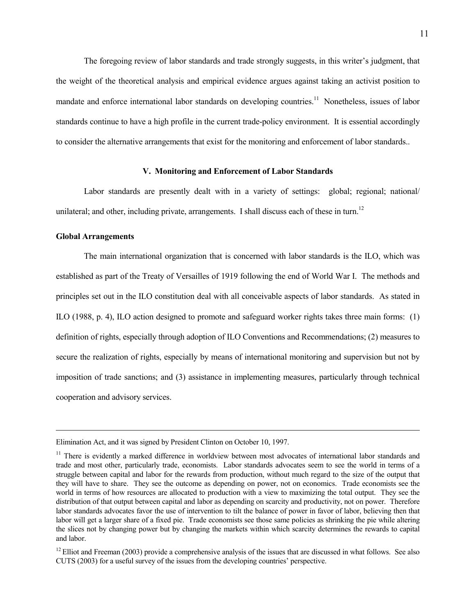The foregoing review of labor standards and trade strongly suggests, in this writer's judgment, that the weight of the theoretical analysis and empirical evidence argues against taking an activist position to mandate and enforce international labor standards on developing countries.<sup>11</sup> Nonetheless, issues of labor standards continue to have a high profile in the current trade-policy environment. It is essential accordingly to consider the alternative arrangements that exist for the monitoring and enforcement of labor standards..

## **V. Monitoring and Enforcement of Labor Standards**

Labor standards are presently dealt with in a variety of settings: global; regional; national unilateral; and other, including private, arrangements. I shall discuss each of these in turn.<sup>12</sup>

## **Global Arrangements**

 $\overline{a}$ 

 The main international organization that is concerned with labor standards is the ILO, which was established as part of the Treaty of Versailles of 1919 following the end of World War I. The methods and principles set out in the ILO constitution deal with all conceivable aspects of labor standards. As stated in ILO (1988, p. 4), ILO action designed to promote and safeguard worker rights takes three main forms: (1) definition of rights, especially through adoption of ILO Conventions and Recommendations; (2) measures to secure the realization of rights, especially by means of international monitoring and supervision but not by imposition of trade sanctions; and (3) assistance in implementing measures, particularly through technical cooperation and advisory services.

Elimination Act, and it was signed by President Clinton on October 10, 1997.

<sup>&</sup>lt;sup>11</sup> There is evidently a marked difference in worldview between most advocates of international labor standards and trade and most other, particularly trade, economists. Labor standards advocates seem to see the world in terms of a struggle between capital and labor for the rewards from production, without much regard to the size of the output that they will have to share. They see the outcome as depending on power, not on economics. Trade economists see the world in terms of how resources are allocated to production with a view to maximizing the total output. They see the distribution of that output between capital and labor as depending on scarcity and productivity, not on power. Therefore labor standards advocates favor the use of intervention to tilt the balance of power in favor of labor, believing then that labor will get a larger share of a fixed pie. Trade economists see those same policies as shrinking the pie while altering the slices not by changing power but by changing the markets within which scarcity determines the rewards to capital and labor.

 $12$  Elliot and Freeman (2003) provide a comprehensive analysis of the issues that are discussed in what follows. See also CUTS (2003) for a useful survey of the issues from the developing countries' perspective.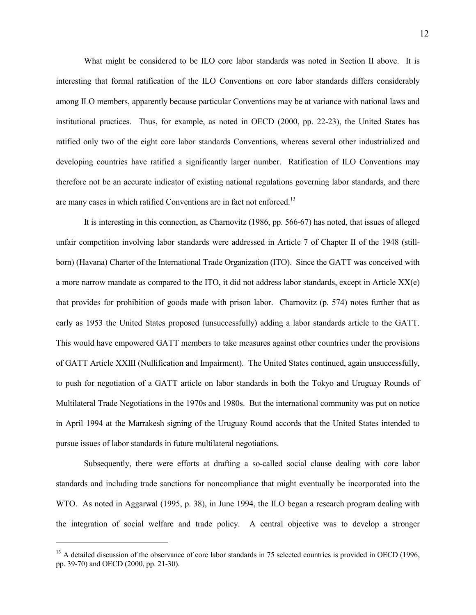What might be considered to be ILO core labor standards was noted in Section II above. It is interesting that formal ratification of the ILO Conventions on core labor standards differs considerably among ILO members, apparently because particular Conventions may be at variance with national laws and institutional practices. Thus, for example, as noted in OECD (2000, pp. 22-23), the United States has ratified only two of the eight core labor standards Conventions, whereas several other industrialized and developing countries have ratified a significantly larger number. Ratification of ILO Conventions may therefore not be an accurate indicator of existing national regulations governing labor standards, and there are many cases in which ratified Conventions are in fact not enforced.<sup>13</sup>

 It is interesting in this connection, as Charnovitz (1986, pp. 566-67) has noted, that issues of alleged unfair competition involving labor standards were addressed in Article 7 of Chapter II of the 1948 (stillborn) (Havana) Charter of the International Trade Organization (ITO). Since the GATT was conceived with a more narrow mandate as compared to the ITO, it did not address labor standards, except in Article  $XX(e)$ that provides for prohibition of goods made with prison labor. Charnovitz (p. 574) notes further that as early as 1953 the United States proposed (unsuccessfully) adding a labor standards article to the GATT. This would have empowered GATT members to take measures against other countries under the provisions of GATT Article XXIII (Nullification and Impairment). The United States continued, again unsuccessfully, to push for negotiation of a GATT article on labor standards in both the Tokyo and Uruguay Rounds of Multilateral Trade Negotiations in the 1970s and 1980s. But the international community was put on notice in April 1994 at the Marrakesh signing of the Uruguay Round accords that the United States intended to pursue issues of labor standards in future multilateral negotiations.

 Subsequently, there were efforts at drafting a so-called social clause dealing with core labor standards and including trade sanctions for noncompliance that might eventually be incorporated into the WTO. As noted in Aggarwal (1995, p. 38), in June 1994, the ILO began a research program dealing with the integration of social welfare and trade policy. A central objective was to develop a stronger

l

 $13$  A detailed discussion of the observance of core labor standards in 75 selected countries is provided in OECD (1996, pp. 39-70) and OECD (2000, pp. 21-30).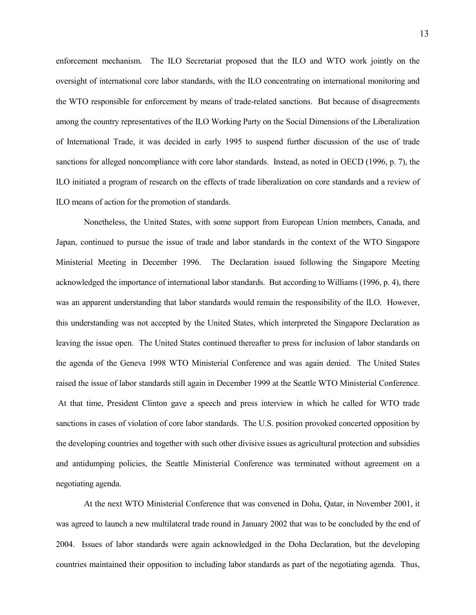enforcement mechanism. The ILO Secretariat proposed that the ILO and WTO work jointly on the oversight of international core labor standards, with the ILO concentrating on international monitoring and the WTO responsible for enforcement by means of trade-related sanctions. But because of disagreements among the country representatives of the ILO Working Party on the Social Dimensions of the Liberalization of International Trade, it was decided in early 1995 to suspend further discussion of the use of trade sanctions for alleged noncompliance with core labor standards. Instead, as noted in OECD (1996, p. 7), the ILO initiated a program of research on the effects of trade liberalization on core standards and a review of ILO means of action for the promotion of standards.

 Nonetheless, the United States, with some support from European Union members, Canada, and Japan, continued to pursue the issue of trade and labor standards in the context of the WTO Singapore Ministerial Meeting in December 1996. The Declaration issued following the Singapore Meeting acknowledged the importance of international labor standards. But according to Williams (1996, p. 4), there was an apparent understanding that labor standards would remain the responsibility of the ILO. However, this understanding was not accepted by the United States, which interpreted the Singapore Declaration as leaving the issue open. The United States continued thereafter to press for inclusion of labor standards on the agenda of the Geneva 1998 WTO Ministerial Conference and was again denied. The United States raised the issue of labor standards still again in December 1999 at the Seattle WTO Ministerial Conference. At that time, President Clinton gave a speech and press interview in which he called for WTO trade sanctions in cases of violation of core labor standards. The U.S. position provoked concerted opposition by the developing countries and together with such other divisive issues as agricultural protection and subsidies and antidumping policies, the Seattle Ministerial Conference was terminated without agreement on a negotiating agenda.

 At the next WTO Ministerial Conference that was convened in Doha, Qatar, in November 2001, it was agreed to launch a new multilateral trade round in January 2002 that was to be concluded by the end of 2004. Issues of labor standards were again acknowledged in the Doha Declaration, but the developing countries maintained their opposition to including labor standards as part of the negotiating agenda. Thus,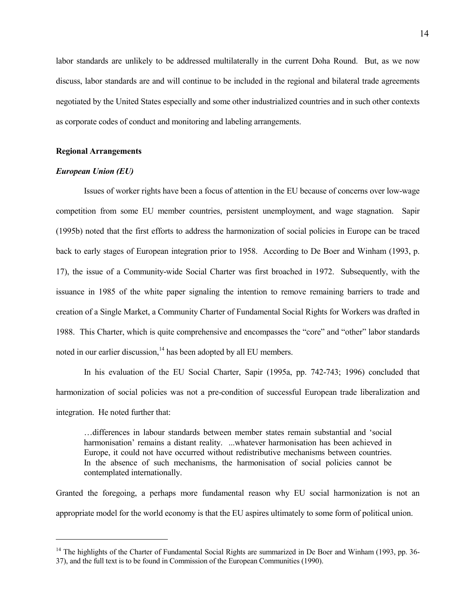labor standards are unlikely to be addressed multilaterally in the current Doha Round. But, as we now discuss, labor standards are and will continue to be included in the regional and bilateral trade agreements negotiated by the United States especially and some other industrialized countries and in such other contexts as corporate codes of conduct and monitoring and labeling arrangements.

## **Regional Arrangements**

## *European Union (EU)*

 $\overline{a}$ 

 Issues of worker rights have been a focus of attention in the EU because of concerns over low-wage competition from some EU member countries, persistent unemployment, and wage stagnation. Sapir (1995b) noted that the first efforts to address the harmonization of social policies in Europe can be traced back to early stages of European integration prior to 1958. According to De Boer and Winham (1993, p. 17), the issue of a Community-wide Social Charter was first broached in 1972. Subsequently, with the issuance in 1985 of the white paper signaling the intention to remove remaining barriers to trade and creation of a Single Market, a Community Charter of Fundamental Social Rights for Workers was drafted in 1988. This Charter, which is quite comprehensive and encompasses the "core" and "other" labor standards noted in our earlier discussion,<sup>14</sup> has been adopted by all EU members.

 In his evaluation of the EU Social Charter, Sapir (1995a, pp. 742-743; 1996) concluded that harmonization of social policies was not a pre-condition of successful European trade liberalization and integration. He noted further that:

…differences in labour standards between member states remain substantial and 'social harmonisation' remains a distant reality. ...whatever harmonisation has been achieved in Europe, it could not have occurred without redistributive mechanisms between countries. In the absence of such mechanisms, the harmonisation of social policies cannot be contemplated internationally.

Granted the foregoing, a perhaps more fundamental reason why EU social harmonization is not an appropriate model for the world economy is that the EU aspires ultimately to some form of political union.

<sup>&</sup>lt;sup>14</sup> The highlights of the Charter of Fundamental Social Rights are summarized in De Boer and Winham (1993, pp. 36-37), and the full text is to be found in Commission of the European Communities (1990).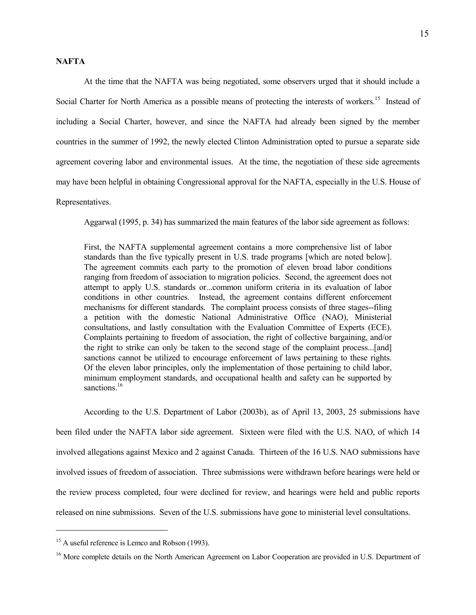## **NAFTA**

 At the time that the NAFTA was being negotiated, some observers urged that it should include a Social Charter for North America as a possible means of protecting the interests of workers.<sup>15</sup> Instead of including a Social Charter, however, and since the NAFTA had already been signed by the member countries in the summer of 1992, the newly elected Clinton Administration opted to pursue a separate side agreement covering labor and environmental issues. At the time, the negotiation of these side agreements may have been helpful in obtaining Congressional approval for the NAFTA, especially in the U.S. House of Representatives.

Aggarwal (1995, p. 34) has summarized the main features of the labor side agreement as follows:

First, the NAFTA supplemental agreement contains a more comprehensive list of labor standards than the five typically present in U.S. trade programs [which are noted below]. The agreement commits each party to the promotion of eleven broad labor conditions ranging from freedom of association to migration policies. Second, the agreement does not attempt to apply U.S. standards or...common uniform criteria in its evaluation of labor conditions in other countries. Instead, the agreement contains different enforcement mechanisms for different standards. The complaint process consists of three stages--filing a petition with the domestic National Administrative Office (NAO), Ministerial consultations, and lastly consultation with the Evaluation Committee of Experts (ECE). Complaints pertaining to freedom of association, the right of collective bargaining, and/or the right to strike can only be taken to the second stage of the complaint process...[and] sanctions cannot be utilized to encourage enforcement of laws pertaining to these rights. Of the eleven labor principles, only the implementation of those pertaining to child labor, minimum employment standards, and occupational health and safety can be supported by sanctions.<sup>16</sup>

 According to the U.S. Department of Labor (2003b), as of April 13, 2003, 25 submissions have been filed under the NAFTA labor side agreement. Sixteen were filed with the U.S. NAO, of which 14 involved allegations against Mexico and 2 against Canada. Thirteen of the 16 U.S. NAO submissions have involved issues of freedom of association. Three submissions were withdrawn before hearings were held or the review process completed, four were declined for review, and hearings were held and public reports released on nine submissions. Seven of the U.S. submissions have gone to ministerial level consultations.

 $\overline{a}$ 

<sup>&</sup>lt;sup>15</sup> A useful reference is Lemco and Robson (1993).

<sup>&</sup>lt;sup>16</sup> More complete details on the North American Agreement on Labor Cooperation are provided in U.S. Department of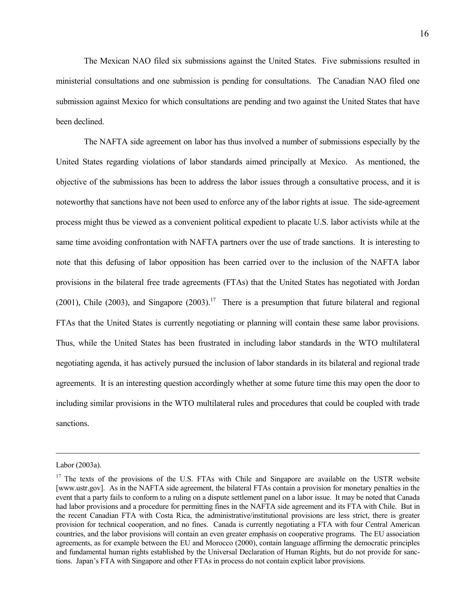The Mexican NAO filed six submissions against the United States. Five submissions resulted in ministerial consultations and one submission is pending for consultations. The Canadian NAO filed one submission against Mexico for which consultations are pending and two against the United States that have been declined.

 The NAFTA side agreement on labor has thus involved a number of submissions especially by the United States regarding violations of labor standards aimed principally at Mexico. As mentioned, the objective of the submissions has been to address the labor issues through a consultative process, and it is noteworthy that sanctions have not been used to enforce any of the labor rights at issue. The side-agreement process might thus be viewed as a convenient political expedient to placate U.S. labor activists while at the same time avoiding confrontation with NAFTA partners over the use of trade sanctions. It is interesting to note that this defusing of labor opposition has been carried over to the inclusion of the NAFTA labor provisions in the bilateral free trade agreements (FTAs) that the United States has negotiated with Jordan (2001), Chile (2003), and Singapore (2003).<sup>17</sup> There is a presumption that future bilateral and regional FTAs that the United States is currently negotiating or planning will contain these same labor provisions. Thus, while the United States has been frustrated in including labor standards in the WTO multilateral negotiating agenda, it has actively pursued the inclusion of labor standards in its bilateral and regional trade agreements. It is an interesting question accordingly whether at some future time this may open the door to including similar provisions in the WTO multilateral rules and procedures that could be coupled with trade sanctions.

 $\overline{a}$ 

Labor (2003a).

<sup>&</sup>lt;sup>17</sup> The texts of the provisions of the U.S. FTAs with Chile and Singapore are available on the USTR website [www.ustr.gov]. As in the NAFTA side agreement, the bilateral FTAs contain a provision for monetary penalties in the event that a party fails to conform to a ruling on a dispute settlement panel on a labor issue. It may be noted that Canada had labor provisions and a procedure for permitting fines in the NAFTA side agreement and its FTA with Chile. But in the recent Canadian FTA with Costa Rica, the administrative/institutional provisions are less strict, there is greater provision for technical cooperation, and no fines. Canada is currently negotiating a FTA with four Central American countries, and the labor provisions will contain an even greater emphasis on cooperative programs. The EU association agreements, as for example between the EU and Morocco (2000), contain language affirming the democratic principles and fundamental human rights established by the Universal Declaration of Human Rights, but do not provide for sanctions. Japan's FTA with Singapore and other FTAs in process do not contain explicit labor provisions.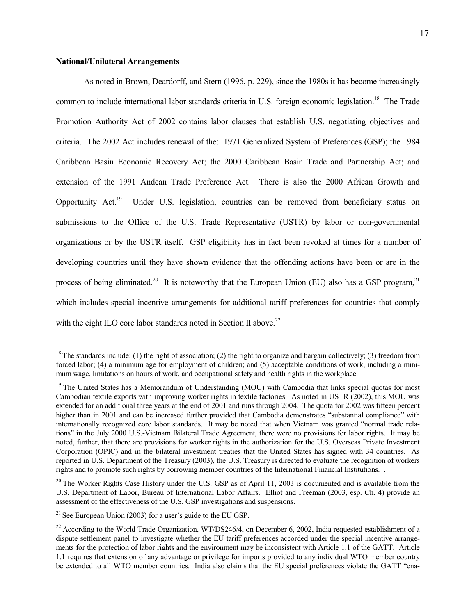## **National/Unilateral Arrangements**

l

 As noted in Brown, Deardorff, and Stern (1996, p. 229), since the 1980s it has become increasingly common to include international labor standards criteria in U.S. foreign economic legislation.<sup>18</sup> The Trade Promotion Authority Act of 2002 contains labor clauses that establish U.S. negotiating objectives and criteria. The 2002 Act includes renewal of the: 1971 Generalized System of Preferences (GSP); the 1984 Caribbean Basin Economic Recovery Act; the 2000 Caribbean Basin Trade and Partnership Act; and extension of the 1991 Andean Trade Preference Act. There is also the 2000 African Growth and Opportunity Act.19 Under U.S. legislation, countries can be removed from beneficiary status on submissions to the Office of the U.S. Trade Representative (USTR) by labor or non-governmental organizations or by the USTR itself. GSP eligibility has in fact been revoked at times for a number of developing countries until they have shown evidence that the offending actions have been or are in the process of being eliminated.<sup>20</sup> It is noteworthy that the European Union (EU) also has a GSP program,<sup>21</sup> which includes special incentive arrangements for additional tariff preferences for countries that comply with the eight ILO core labor standards noted in Section II above.<sup>22</sup>

<sup>&</sup>lt;sup>18</sup> The standards include: (1) the right of association; (2) the right to organize and bargain collectively; (3) freedom from forced labor; (4) a minimum age for employment of children; and (5) acceptable conditions of work, including a minimum wage, limitations on hours of work, and occupational safety and health rights in the workplace.

<sup>&</sup>lt;sup>19</sup> The United States has a Memorandum of Understanding (MOU) with Cambodia that links special quotas for most Cambodian textile exports with improving worker rights in textile factories. As noted in USTR (2002), this MOU was extended for an additional three years at the end of 2001 and runs through 2004. The quota for 2002 was fifteen percent higher than in 2001 and can be increased further provided that Cambodia demonstrates "substantial compliance" with internationally recognized core labor standards. It may be noted that when Vietnam was granted "normal trade relations" in the July 2000 U.S.-Vietnam Bilateral Trade Agreement, there were no provisions for labor rights. It may be noted, further, that there are provisions for worker rights in the authorization for the U.S. Overseas Private Investment Corporation (OPIC) and in the bilateral investment treaties that the United States has signed with 34 countries. As reported in U.S. Department of the Treasury (2003), the U.S. Treasury is directed to evaluate the recognition of workers rights and to promote such rights by borrowing member countries of the International Financial Institutions. .

<sup>&</sup>lt;sup>20</sup> The Worker Rights Case History under the U.S. GSP as of April 11, 2003 is documented and is available from the U.S. Department of Labor, Bureau of International Labor Affairs. Elliot and Freeman (2003, esp. Ch. 4) provide an assessment of the effectiveness of the U.S. GSP investigations and suspensions.

<sup>&</sup>lt;sup>21</sup> See European Union (2003) for a user's guide to the EU GSP.

<sup>&</sup>lt;sup>22</sup> According to the World Trade Organization, WT/DS246/4, on December 6, 2002, India requested establishment of a dispute settlement panel to investigate whether the EU tariff preferences accorded under the special incentive arrangements for the protection of labor rights and the environment may be inconsistent with Article 1.1 of the GATT. Article 1.1 requires that extension of any advantage or privilege for imports provided to any individual WTO member country be extended to all WTO member countries. India also claims that the EU special preferences violate the GATT "ena-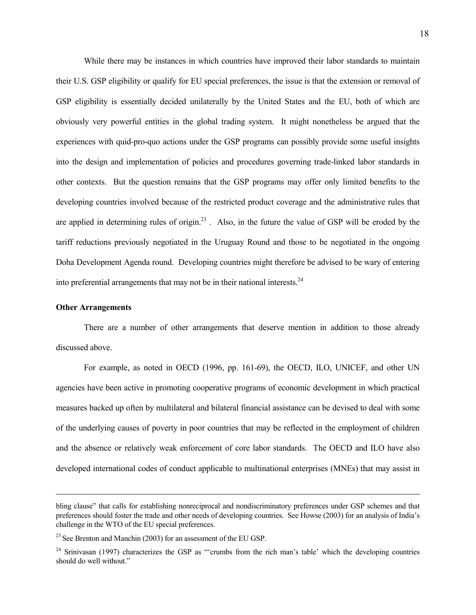While there may be instances in which countries have improved their labor standards to maintain their U.S. GSP eligibility or qualify for EU special preferences, the issue is that the extension or removal of GSP eligibility is essentially decided unilaterally by the United States and the EU, both of which are obviously very powerful entities in the global trading system. It might nonetheless be argued that the experiences with quid-pro-quo actions under the GSP programs can possibly provide some useful insights into the design and implementation of policies and procedures governing trade-linked labor standards in other contexts. But the question remains that the GSP programs may offer only limited benefits to the developing countries involved because of the restricted product coverage and the administrative rules that are applied in determining rules of origin.<sup>23</sup>. Also, in the future the value of GSP will be eroded by the tariff reductions previously negotiated in the Uruguay Round and those to be negotiated in the ongoing Doha Development Agenda round. Developing countries might therefore be advised to be wary of entering into preferential arrangements that may not be in their national interests. $^{24}$ 

## **Other Arrangements**

 $\overline{a}$ 

 There are a number of other arrangements that deserve mention in addition to those already discussed above.

 For example, as noted in OECD (1996, pp. 161-69), the OECD, ILO, UNICEF, and other UN agencies have been active in promoting cooperative programs of economic development in which practical measures backed up often by multilateral and bilateral financial assistance can be devised to deal with some of the underlying causes of poverty in poor countries that may be reflected in the employment of children and the absence or relatively weak enforcement of core labor standards. The OECD and ILO have also developed international codes of conduct applicable to multinational enterprises (MNEs) that may assist in

bling clause" that calls for establishing nonreciprocal and nondiscriminatory preferences under GSP schemes and that preferences should foster the trade and other needs of developing countries. See Howse (2003) for an analysis of India's challenge in the WTO of the EU special preferences.

<sup>&</sup>lt;sup>23</sup> See Brenton and Manchin (2003) for an assessment of the EU GSP.

<sup>&</sup>lt;sup>24</sup> Srinivasan (1997) characterizes the GSP as "'crumbs from the rich man's table' which the developing countries should do well without."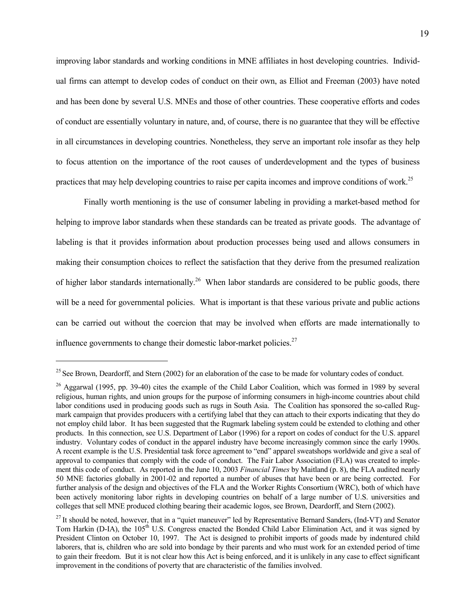improving labor standards and working conditions in MNE affiliates in host developing countries. Individual firms can attempt to develop codes of conduct on their own, as Elliot and Freeman (2003) have noted and has been done by several U.S. MNEs and those of other countries. These cooperative efforts and codes of conduct are essentially voluntary in nature, and, of course, there is no guarantee that they will be effective in all circumstances in developing countries. Nonetheless, they serve an important role insofar as they help to focus attention on the importance of the root causes of underdevelopment and the types of business practices that may help developing countries to raise per capita incomes and improve conditions of work.<sup>25</sup>

 Finally worth mentioning is the use of consumer labeling in providing a market-based method for helping to improve labor standards when these standards can be treated as private goods. The advantage of labeling is that it provides information about production processes being used and allows consumers in making their consumption choices to reflect the satisfaction that they derive from the presumed realization of higher labor standards internationally.<sup>26</sup> When labor standards are considered to be public goods, there will be a need for governmental policies. What is important is that these various private and public actions can be carried out without the coercion that may be involved when efforts are made internationally to influence governments to change their domestic labor-market policies.<sup>27</sup>

l

 $25$  See Brown, Deardorff, and Stern (2002) for an elaboration of the case to be made for voluntary codes of conduct.

<sup>&</sup>lt;sup>26</sup> Aggarwal (1995, pp. 39-40) cites the example of the Child Labor Coalition, which was formed in 1989 by several religious, human rights, and union groups for the purpose of informing consumers in high-income countries about child labor conditions used in producing goods such as rugs in South Asia. The Coalition has sponsored the so-called Rugmark campaign that provides producers with a certifying label that they can attach to their exports indicating that they do not employ child labor. It has been suggested that the Rugmark labeling system could be extended to clothing and other products. In this connection, see U.S. Department of Labor (1996) for a report on codes of conduct for the U.S. apparel industry. Voluntary codes of conduct in the apparel industry have become increasingly common since the early 1990s. A recent example is the U.S. Presidential task force agreement to "end" apparel sweatshops worldwide and give a seal of approval to companies that comply with the code of conduct. The Fair Labor Association (FLA) was created to implement this code of conduct. As reported in the June 10, 2003 *Financial Times* by Maitland (p. 8), the FLA audited nearly 50 MNE factories globally in 2001-02 and reported a number of abuses that have been or are being corrected. For further analysis of the design and objectives of the FLA and the Worker Rights Consortium (WRC), both of which have been actively monitoring labor rights in developing countries on behalf of a large number of U.S. universities and colleges that sell MNE produced clothing bearing their academic logos, see Brown, Deardorff, and Stern (2002).

 $^{27}$  It should be noted, however, that in a "quiet maneuver" led by Representative Bernard Sanders, (Ind-VT) and Senator Tom Harkin (D-IA), the 105<sup>th</sup> U.S. Congress enacted the Bonded Child Labor Elimination Act, and it was signed by President Clinton on October 10, 1997. The Act is designed to prohibit imports of goods made by indentured child laborers, that is, children who are sold into bondage by their parents and who must work for an extended period of time to gain their freedom. But it is not clear how this Act is being enforced, and it is unlikely in any case to effect significant improvement in the conditions of poverty that are characteristic of the families involved.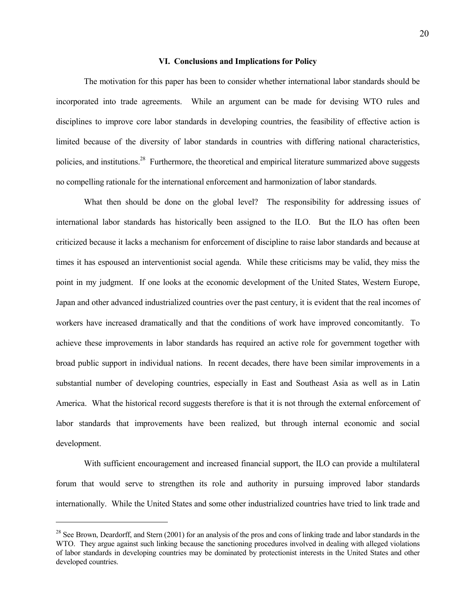### **VI. Conclusions and Implications for Policy**

 The motivation for this paper has been to consider whether international labor standards should be incorporated into trade agreements. While an argument can be made for devising WTO rules and disciplines to improve core labor standards in developing countries, the feasibility of effective action is limited because of the diversity of labor standards in countries with differing national characteristics, policies, and institutions.28 Furthermore, the theoretical and empirical literature summarized above suggests no compelling rationale for the international enforcement and harmonization of labor standards.

What then should be done on the global level? The responsibility for addressing issues of international labor standards has historically been assigned to the ILO. But the ILO has often been criticized because it lacks a mechanism for enforcement of discipline to raise labor standards and because at times it has espoused an interventionist social agenda. While these criticisms may be valid, they miss the point in my judgment. If one looks at the economic development of the United States, Western Europe, Japan and other advanced industrialized countries over the past century, it is evident that the real incomes of workers have increased dramatically and that the conditions of work have improved concomitantly. To achieve these improvements in labor standards has required an active role for government together with broad public support in individual nations. In recent decades, there have been similar improvements in a substantial number of developing countries, especially in East and Southeast Asia as well as in Latin America. What the historical record suggests therefore is that it is not through the external enforcement of labor standards that improvements have been realized, but through internal economic and social development.

 With sufficient encouragement and increased financial support, the ILO can provide a multilateral forum that would serve to strengthen its role and authority in pursuing improved labor standards internationally. While the United States and some other industrialized countries have tried to link trade and

l

 $28$  See Brown, Deardorff, and Stern (2001) for an analysis of the pros and cons of linking trade and labor standards in the WTO. They argue against such linking because the sanctioning procedures involved in dealing with alleged violations of labor standards in developing countries may be dominated by protectionist interests in the United States and other developed countries.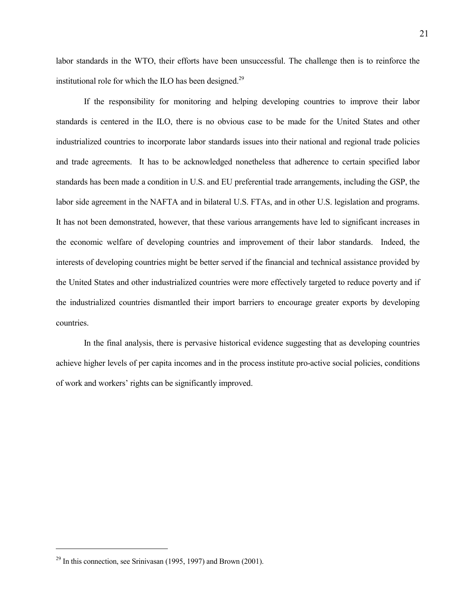labor standards in the WTO, their efforts have been unsuccessful. The challenge then is to reinforce the institutional role for which the ILO has been designed.<sup>29</sup>

 If the responsibility for monitoring and helping developing countries to improve their labor standards is centered in the ILO, there is no obvious case to be made for the United States and other industrialized countries to incorporate labor standards issues into their national and regional trade policies and trade agreements. It has to be acknowledged nonetheless that adherence to certain specified labor standards has been made a condition in U.S. and EU preferential trade arrangements, including the GSP, the labor side agreement in the NAFTA and in bilateral U.S. FTAs, and in other U.S. legislation and programs. It has not been demonstrated, however, that these various arrangements have led to significant increases in the economic welfare of developing countries and improvement of their labor standards. Indeed, the interests of developing countries might be better served if the financial and technical assistance provided by the United States and other industrialized countries were more effectively targeted to reduce poverty and if the industrialized countries dismantled their import barriers to encourage greater exports by developing countries.

 In the final analysis, there is pervasive historical evidence suggesting that as developing countries achieve higher levels of per capita incomes and in the process institute pro-active social policies, conditions of work and workers' rights can be significantly improved.

 $\overline{a}$ 

 $29$  In this connection, see Srinivasan (1995, 1997) and Brown (2001).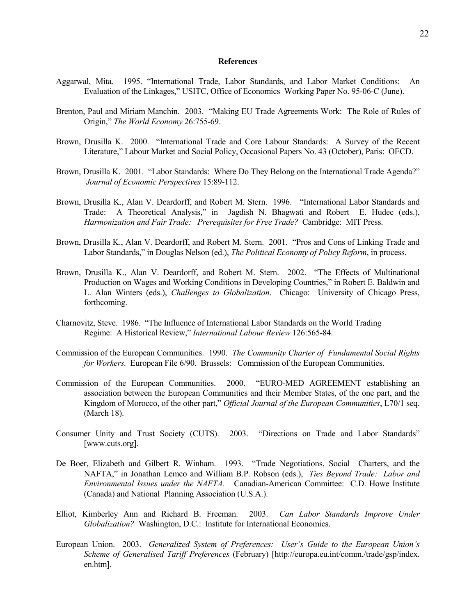### **References**

- Aggarwal, Mita. 1995. "International Trade, Labor Standards, and Labor Market Conditions: An Evaluation of the Linkages," USITC, Office of Economics Working Paper No. 95-06-C (June).
- Brenton, Paul and Miriam Manchin. 2003. "Making EU Trade Agreements Work: The Role of Rules of Origin," *The World Economy* 26:755-69.
- Brown, Drusilla K. 2000. "International Trade and Core Labour Standards: A Survey of the Recent Literature," Labour Market and Social Policy, Occasional Papers No. 43 (October), Paris: OECD.
- Brown, Drusilla K. 2001. "Labor Standards: Where Do They Belong on the International Trade Agenda?" *Journal of Economic Perspectives* 15:89-112.
- Brown, Drusilla K., Alan V. Deardorff, and Robert M. Stern. 1996. "International Labor Standards and Trade: A Theoretical Analysis," in Jagdish N. Bhagwati and Robert E. Hudec (eds.), *Harmonization and Fair Trade: Prerequisites for Free Trade?* Cambridge: MIT Press.
- Brown, Drusilla K., Alan V. Deardorff, and Robert M. Stern. 2001. "Pros and Cons of Linking Trade and Labor Standards," in Douglas Nelson (ed.), *The Political Economy of Policy Reform*, in process.
- Brown, Drusilla K., Alan V. Deardorff, and Robert M. Stern. 2002. "The Effects of Multinational Production on Wages and Working Conditions in Developing Countries," in Robert E. Baldwin and L. Alan Winters (eds.), *Challenges to Globalization*. Chicago: University of Chicago Press, forthcoming.
- Charnovitz, Steve. 1986. "The Influence of International Labor Standards on the World Trading Regime: A Historical Review," *International Labour Review* 126:565-84.
- Commission of the European Communities. 1990. *The Community Charter of Fundamental Social Rights for Workers.* European File 6/90. Brussels: Commission of the European Communities.
- Commission of the European Communities. 2000. "EURO-MED AGREEMENT establishing an association between the European Communities and their Member States, of the one part, and the Kingdom of Morocco, of the other part," *Official Journal of the European Communities*, L70/1 seq. (March 18).
- Consumer Unity and Trust Society (CUTS). 2003. "Directions on Trade and Labor Standards" [www.cuts.org].
- De Boer, Elizabeth and Gilbert R. Winham. 1993. "Trade Negotiations, Social Charters, and the NAFTA," in Jonathan Lemco and William B.P. Robson (eds.), *Ties Beyond Trade: Labor and Environmental Issues under the NAFTA.* Canadian-American Committee: C.D. Howe Institute (Canada) and National Planning Association (U.S.A.).
- Elliot, Kimberley Ann and Richard B. Freeman. 2003. *Can Labor Standards Improve Under Globalization?* Washington, D.C.: Institute for International Economics.
- European Union. 2003. *Generalized System of Preferences: User's Guide to the European Union's Scheme of Generalised Tariff Preferences* (February) [http://europa.eu.int/comm./trade/gsp/index. en.htm].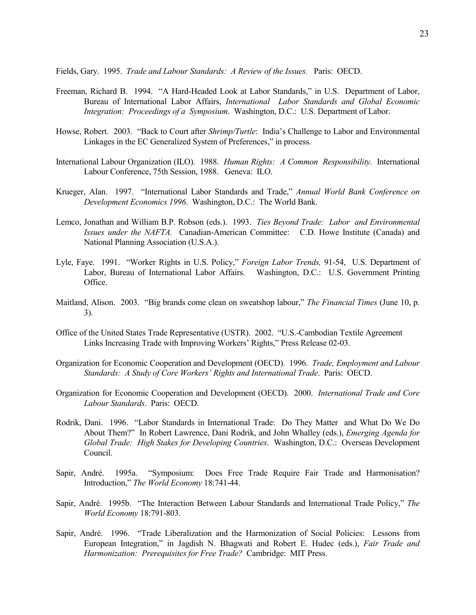Fields, Gary. 1995. *Trade and Labour Standards: A Review of the Issues.* Paris: OECD.

- Freeman, Richard B. 1994. "A Hard-Headed Look at Labor Standards," in U.S. Department of Labor, Bureau of International Labor Affairs, *International Labor Standards and Global Economic Integration: Proceedings of a Symposium*. Washington, D.C.: U.S. Department of Labor.
- Howse, Robert. 2003. "Back to Court after *Shrimp/Turtle*: India's Challenge to Labor and Environmental Linkages in the EC Generalized System of Preferences," in process.
- International Labour Organization (ILO). 1988. *Human Rights: A Common Responsibility.* International Labour Conference, 75th Session, 1988. Geneva: ILO.
- Krueger, Alan. 1997. "International Labor Standards and Trade," *Annual World Bank Conference on Development Economics 1996*. Washington, D.C.: The World Bank.
- Lemco, Jonathan and William B.P. Robson (eds.). 1993. *Ties Beyond Trade: Labor and Environmental Issues under the NAFTA.* Canadian-American Committee: C.D. Howe Institute (Canada) and National Planning Association (U.S.A.).
- Lyle, Faye. 1991. "Worker Rights in U.S. Policy," *Foreign Labor Trends,* 91-54, U.S. Department of Labor, Bureau of International Labor Affairs. Washington, D.C.: U.S. Government Printing Office.
- Maitland, Alison. 2003. "Big brands come clean on sweatshop labour," *The Financial Times* (June 10, p. 3).
- Office of the United States Trade Representative (USTR). 2002. "U.S.-Cambodian Textile Agreement Links Increasing Trade with Improving Workers' Rights," Press Release 02-03.
- Organization for Economic Cooperation and Development (OECD). 1996. *Trade, Employment and Labour Standards: A Study of Core Workers' Rights and International Trade*. Paris: OECD.
- Organization for Economic Cooperation and Development (OECD). 2000. *International Trade and Core Labour Standards*. Paris: OECD.
- Rodrik, Dani. 1996. "Labor Standards in International Trade: Do They Matter and What Do We Do About Them?" In Robert Lawrence, Dani Rodrik, and John Whalley (eds.), *Emerging Agenda for Global Trade: High Stakes for Developing Countries*. Washington, D.C.: Overseas Development Council.
- Sapir, André. 1995a. "Symposium: Does Free Trade Require Fair Trade and Harmonisation? Introduction," *The World Economy* 18:741-44.
- Sapir, André. 1995b. "The Interaction Between Labour Standards and International Trade Policy," *The World Economy* 18:791-803.
- Sapir, André. 1996. "Trade Liberalization and the Harmonization of Social Policies: Lessons from European Integration," in Jagdish N. Bhagwati and Robert E. Hudec (eds.), *Fair Trade and Harmonization: Prerequisites for Free Trade?* Cambridge: MIT Press.